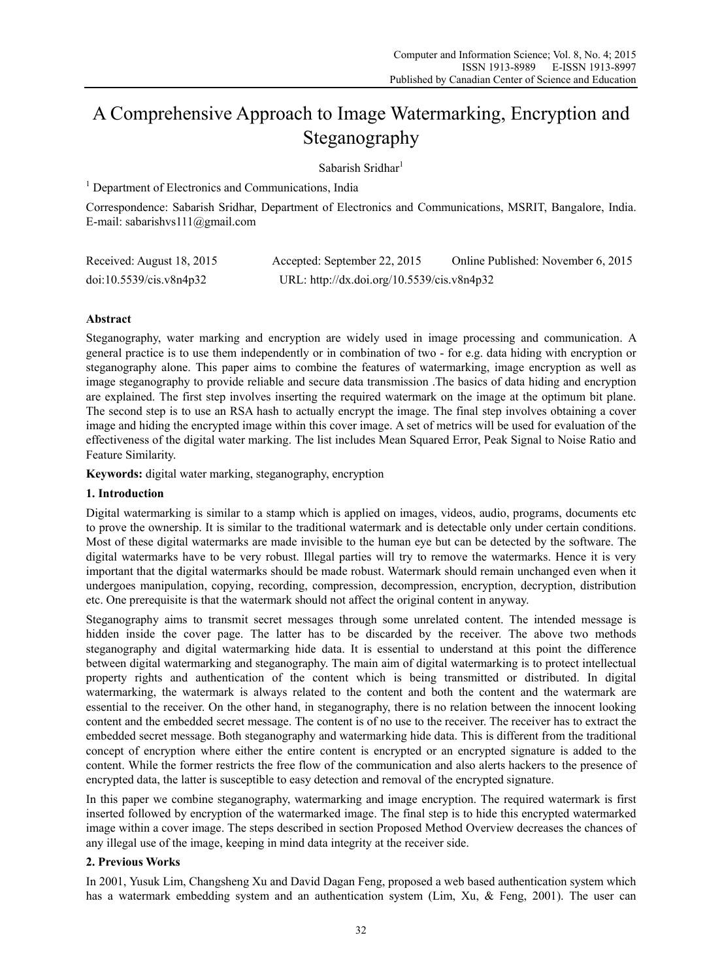# A Comprehensive Approach to Image Watermarking, Encryption and Steganography

Sabarish Sridhar<sup>1</sup>

<sup>1</sup> Department of Electronics and Communications, India

Correspondence: Sabarish Sridhar, Department of Electronics and Communications, MSRIT, Bangalore, India. E-mail: sabarishvs111@gmail.com

| Received: August 18, 2015 | Accepted: September 22, 2015               | Online Published: November 6, 2015 |  |  |
|---------------------------|--------------------------------------------|------------------------------------|--|--|
| doi:10.5539/cis.v8n4p32   | URL: http://dx.doi.org/10.5539/cis.v8n4p32 |                                    |  |  |

# **Abstract**

Steganography, water marking and encryption are widely used in image processing and communication. A general practice is to use them independently or in combination of two - for e.g. data hiding with encryption or steganography alone. This paper aims to combine the features of watermarking, image encryption as well as image steganography to provide reliable and secure data transmission .The basics of data hiding and encryption are explained. The first step involves inserting the required watermark on the image at the optimum bit plane. The second step is to use an RSA hash to actually encrypt the image. The final step involves obtaining a cover image and hiding the encrypted image within this cover image. A set of metrics will be used for evaluation of the effectiveness of the digital water marking. The list includes Mean Squared Error, Peak Signal to Noise Ratio and Feature Similarity.

**Keywords:** digital water marking, steganography, encryption

# **1. Introduction**

Digital watermarking is similar to a stamp which is applied on images, videos, audio, programs, documents etc to prove the ownership. It is similar to the traditional watermark and is detectable only under certain conditions. Most of these digital watermarks are made invisible to the human eye but can be detected by the software. The digital watermarks have to be very robust. Illegal parties will try to remove the watermarks. Hence it is very important that the digital watermarks should be made robust. Watermark should remain unchanged even when it undergoes manipulation, copying, recording, compression, decompression, encryption, decryption, distribution etc. One prerequisite is that the watermark should not affect the original content in anyway.

Steganography aims to transmit secret messages through some unrelated content. The intended message is hidden inside the cover page. The latter has to be discarded by the receiver. The above two methods steganography and digital watermarking hide data. It is essential to understand at this point the difference between digital watermarking and steganography. The main aim of digital watermarking is to protect intellectual property rights and authentication of the content which is being transmitted or distributed. In digital watermarking, the watermark is always related to the content and both the content and the watermark are essential to the receiver. On the other hand, in steganography, there is no relation between the innocent looking content and the embedded secret message. The content is of no use to the receiver. The receiver has to extract the embedded secret message. Both steganography and watermarking hide data. This is different from the traditional concept of encryption where either the entire content is encrypted or an encrypted signature is added to the content. While the former restricts the free flow of the communication and also alerts hackers to the presence of encrypted data, the latter is susceptible to easy detection and removal of the encrypted signature.

In this paper we combine steganography, watermarking and image encryption. The required watermark is first inserted followed by encryption of the watermarked image. The final step is to hide this encrypted watermarked image within a cover image. The steps described in section Proposed Method Overview decreases the chances of any illegal use of the image, keeping in mind data integrity at the receiver side.

# **2. Previous Works**

In 2001, Yusuk Lim, Changsheng Xu and David Dagan Feng, proposed a web based authentication system which has a watermark embedding system and an authentication system (Lim, Xu, & Feng, 2001). The user can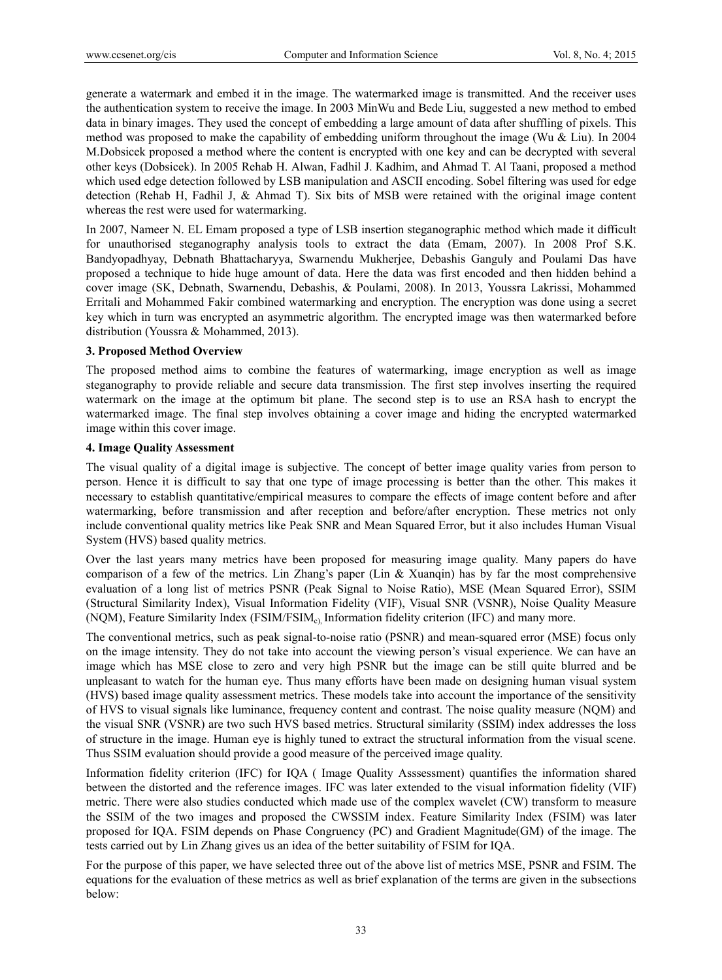generate a watermark and embed it in the image. The watermarked image is transmitted. And the receiver uses the authentication system to receive the image. In 2003 MinWu and Bede Liu, suggested a new method to embed data in binary images. They used the concept of embedding a large amount of data after shuffling of pixels. This method was proposed to make the capability of embedding uniform throughout the image (Wu & Liu). In 2004 M.Dobsicek proposed a method where the content is encrypted with one key and can be decrypted with several other keys (Dobsicek). In 2005 Rehab H. Alwan, Fadhil J. Kadhim, and Ahmad T. Al Taani, proposed a method which used edge detection followed by LSB manipulation and ASCII encoding. Sobel filtering was used for edge detection (Rehab H, Fadhil J, & Ahmad T). Six bits of MSB were retained with the original image content whereas the rest were used for watermarking.

In 2007, Nameer N. EL Emam proposed a type of LSB insertion steganographic method which made it difficult for unauthorised steganography analysis tools to extract the data (Emam, 2007). In 2008 Prof S.K. Bandyopadhyay, Debnath Bhattacharyya, Swarnendu Mukherjee, Debashis Ganguly and Poulami Das have proposed a technique to hide huge amount of data. Here the data was first encoded and then hidden behind a cover image (SK, Debnath, Swarnendu, Debashis, & Poulami, 2008). In 2013, Youssra Lakrissi, Mohammed Erritali and Mohammed Fakir combined watermarking and encryption. The encryption was done using a secret key which in turn was encrypted an asymmetric algorithm. The encrypted image was then watermarked before distribution (Youssra & Mohammed, 2013).

# **3. Proposed Method Overview**

The proposed method aims to combine the features of watermarking, image encryption as well as image steganography to provide reliable and secure data transmission. The first step involves inserting the required watermark on the image at the optimum bit plane. The second step is to use an RSA hash to encrypt the watermarked image. The final step involves obtaining a cover image and hiding the encrypted watermarked image within this cover image.

# **4. Image Quality Assessment**

The visual quality of a digital image is subjective. The concept of better image quality varies from person to person. Hence it is difficult to say that one type of image processing is better than the other. This makes it necessary to establish quantitative/empirical measures to compare the effects of image content before and after watermarking, before transmission and after reception and before/after encryption. These metrics not only include conventional quality metrics like Peak SNR and Mean Squared Error, but it also includes Human Visual System (HVS) based quality metrics.

Over the last years many metrics have been proposed for measuring image quality. Many papers do have comparison of a few of the metrics. Lin Zhang's paper (Lin & Xuanqin) has by far the most comprehensive evaluation of a long list of metrics PSNR (Peak Signal to Noise Ratio), MSE (Mean Squared Error), SSIM (Structural Similarity Index), Visual Information Fidelity (VIF), Visual SNR (VSNR), Noise Quality Measure (NQM), Feature Similarity Index (FSIM/FSIM<sub>c</sub>), Information fidelity criterion (IFC) and many more.

The conventional metrics, such as peak signal-to-noise ratio (PSNR) and mean-squared error (MSE) focus only on the image intensity. They do not take into account the viewing person's visual experience. We can have an image which has MSE close to zero and very high PSNR but the image can be still quite blurred and be unpleasant to watch for the human eye. Thus many efforts have been made on designing human visual system (HVS) based image quality assessment metrics. These models take into account the importance of the sensitivity of HVS to visual signals like luminance, frequency content and contrast. The noise quality measure (NQM) and the visual SNR (VSNR) are two such HVS based metrics. Structural similarity (SSIM) index addresses the loss of structure in the image. Human eye is highly tuned to extract the structural information from the visual scene. Thus SSIM evaluation should provide a good measure of the perceived image quality.

Information fidelity criterion (IFC) for IQA ( Image Quality Asssessment) quantifies the information shared between the distorted and the reference images. IFC was later extended to the visual information fidelity (VIF) metric. There were also studies conducted which made use of the complex wavelet (CW) transform to measure the SSIM of the two images and proposed the CWSSIM index. Feature Similarity Index (FSIM) was later proposed for IQA. FSIM depends on Phase Congruency (PC) and Gradient Magnitude(GM) of the image. The tests carried out by Lin Zhang gives us an idea of the better suitability of FSIM for IQA.

For the purpose of this paper, we have selected three out of the above list of metrics MSE, PSNR and FSIM. The equations for the evaluation of these metrics as well as brief explanation of the terms are given in the subsections below: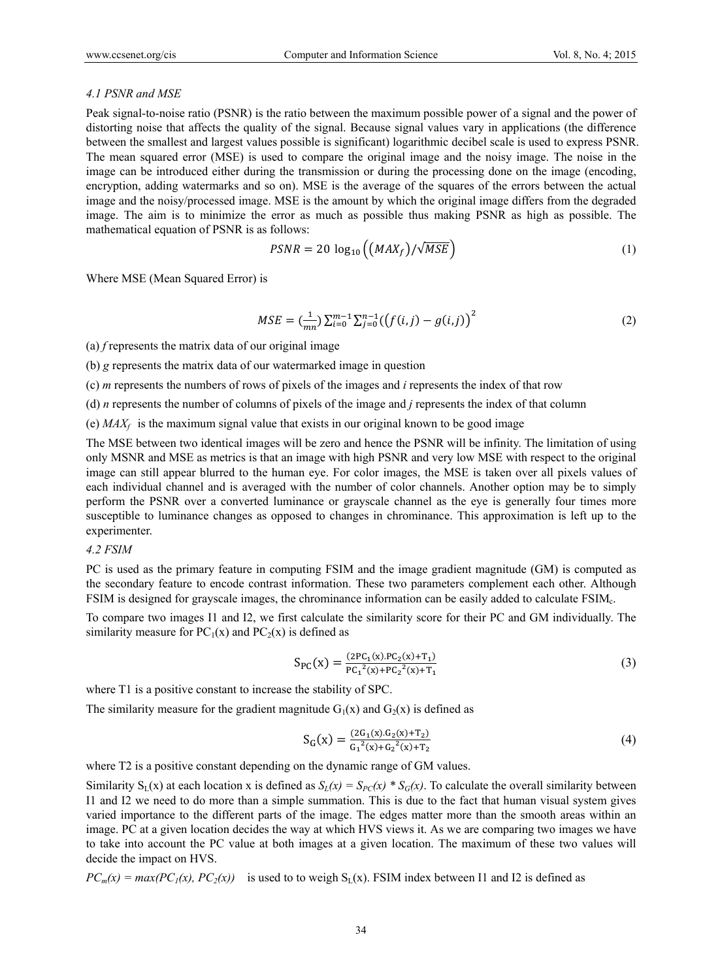#### *4.1 PSNR and MSE*

Peak signal-to-noise ratio (PSNR) is the ratio between the maximum possible power of a signal and the power of distorting noise that affects the quality of the signal. Because signal values vary in applications (the difference between the smallest and largest values possible is significant) logarithmic decibel scale is used to express PSNR. The mean squared error (MSE) is used to compare the original image and the noisy image. The noise in the image can be introduced either during the transmission or during the processing done on the image (encoding, encryption, adding watermarks and so on). MSE is the average of the squares of the errors between the actual image and the noisy/processed image. MSE is the amount by which the original image differs from the degraded image. The aim is to minimize the error as much as possible thus making PSNR as high as possible. The mathematical equation of PSNR is as follows:

$$
PSNR = 20 \log_{10} \left( \left( MAX_f \right) / \sqrt{MSE} \right) \tag{1}
$$

Where MSE (Mean Squared Error) is

$$
MSE = \left(\frac{1}{mn}\right) \sum_{i=0}^{m-1} \sum_{j=0}^{n-1} \left( \left( f(i,j) - g(i,j) \right)^2 \right) \tag{2}
$$

(a) *f* represents the matrix data of our original image

(b) *g* represents the matrix data of our watermarked image in question

(c) *m* represents the numbers of rows of pixels of the images and *i* represents the index of that row

(d) *n* represents the number of columns of pixels of the image and *j* represents the index of that column

(e)  $MAX_f$  is the maximum signal value that exists in our original known to be good image

The MSE between two identical images will be zero and hence the PSNR will be infinity. The limitation of using only MSNR and MSE as metrics is that an image with high PSNR and very low MSE with respect to the original image can still appear blurred to the human eye. For color images, the MSE is taken over all pixels values of each individual channel and is averaged with the number of color channels. Another option may be to simply perform the PSNR over a converted luminance or grayscale channel as the eye is generally four times more susceptible to luminance changes as opposed to changes in chrominance. This approximation is left up to the experimenter.

#### *4.2 FSIM*

PC is used as the primary feature in computing FSIM and the image gradient magnitude (GM) is computed as the secondary feature to encode contrast information. These two parameters complement each other. Although FSIM is designed for grayscale images, the chrominance information can be easily added to calculate FSIMc.

To compare two images I1 and I2, we first calculate the similarity score for their PC and GM individually. The similarity measure for  $PC_1(x)$  and  $PC_2(x)$  is defined as

$$
S_{PC}(x) = \frac{(2PC_1(x).PC_2(x)+T_1)}{PC_1^2(x)+PC_2^2(x)+T_1}
$$
\n(3)

where T1 is a positive constant to increase the stability of SPC.

The similarity measure for the gradient magnitude  $G_1(x)$  and  $G_2(x)$  is defined as

$$
S_G(x) = \frac{(2G_1(x) \cdot G_2(x) + T_2)}{G_1^2(x) + G_2^2(x) + T_2}
$$
\n(4)

where T<sub>2</sub> is a positive constant depending on the dynamic range of GM values.

Similarity  $S_L(x)$  at each location x is defined as  $S_L(x) = S_{PC}(x) * S_G(x)$ . To calculate the overall similarity between I1 and I2 we need to do more than a simple summation. This is due to the fact that human visual system gives varied importance to the different parts of the image. The edges matter more than the smooth areas within an image. PC at a given location decides the way at which HVS views it. As we are comparing two images we have to take into account the PC value at both images at a given location. The maximum of these two values will decide the impact on HVS.

 $PC_m(x) = max(PC_1(x), PC_2(x))$  is used to to weigh S<sub>L</sub>(x). FSIM index between I1 and I2 is defined as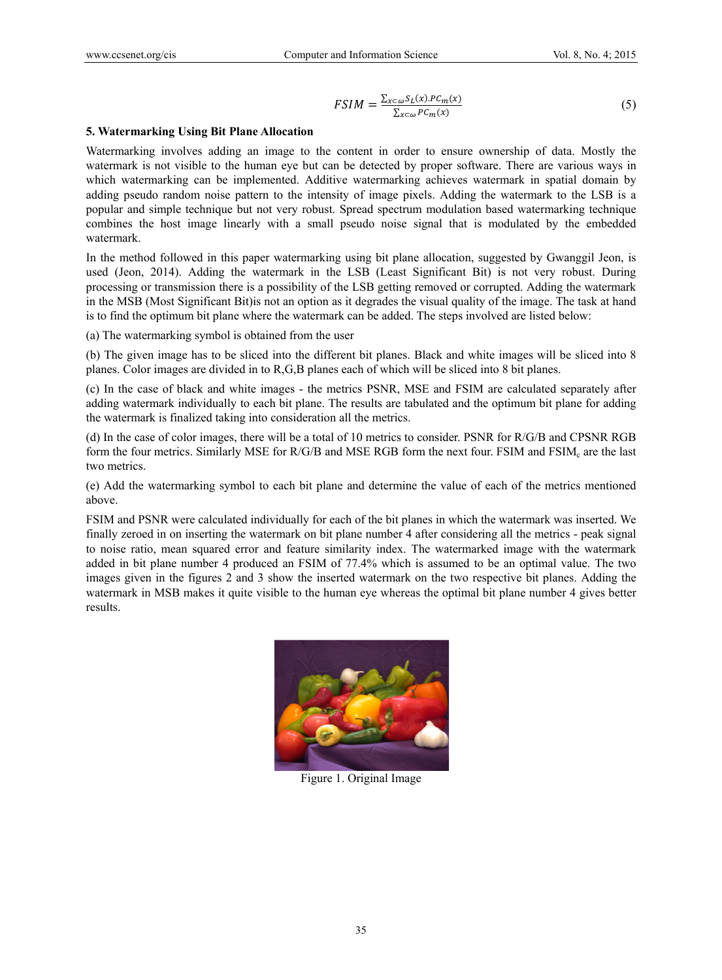$$
FSIM = \frac{\sum_{x \subset \omega} S_L(x) \cdot PC_m(x)}{\sum_{x \subset \omega} PC_m(x)} \tag{5}
$$

#### **5. Watermarking Using Bit Plane Allocation**

Watermarking involves adding an image to the content in order to ensure ownership of data. Mostly the watermark is not visible to the human eye but can be detected by proper software. There are various ways in which watermarking can be implemented. Additive watermarking achieves watermark in spatial domain by adding pseudo random noise pattern to the intensity of image pixels. Adding the watermark to the LSB is a popular and simple technique but not very robust. Spread spectrum modulation based watermarking technique combines the host image linearly with a small pseudo noise signal that is modulated by the embedded watermark.

In the method followed in this paper watermarking using bit plane allocation, suggested by Gwanggil Jeon, is used (Jeon, 2014). Adding the watermark in the LSB (Least Significant Bit) is not very robust. During processing or transmission there is a possibility of the LSB getting removed or corrupted. Adding the watermark in the MSB (Most Significant Bit)is not an option as it degrades the visual quality of the image. The task at hand is to find the optimum bit plane where the watermark can be added. The steps involved are listed below:

(a) The watermarking symbol is obtained from the user

(b) The given image has to be sliced into the different bit planes. Black and white images will be sliced into 8 planes. Color images are divided in to R,G,B planes each of which will be sliced into 8 bit planes.

(c) In the case of black and white images - the metrics PSNR, MSE and FSIM are calculated separately after adding watermark individually to each bit plane. The results are tabulated and the optimum bit plane for adding the watermark is finalized taking into consideration all the metrics.

(d) In the case of color images, there will be a total of 10 metrics to consider. PSNR for R/G/B and CPSNR RGB form the four metrics. Similarly MSE for R/G/B and MSE RGB form the next four. FSIM and FSIM<sub>c</sub> are the last two metrics.

(e) Add the watermarking symbol to each bit plane and determine the value of each of the metrics mentioned above.

FSIM and PSNR were calculated individually for each of the bit planes in which the watermark was inserted. We finally zeroed in on inserting the watermark on bit plane number 4 after considering all the metrics - peak signal to noise ratio, mean squared error and feature similarity index. The watermarked image with the watermark added in bit plane number 4 produced an FSIM of 77.4% which is assumed to be an optimal value. The two images given in the figures 2 and 3 show the inserted watermark on the two respective bit planes. Adding the watermark in MSB makes it quite visible to the human eye whereas the optimal bit plane number 4 gives better results.



Figure 1. Original Image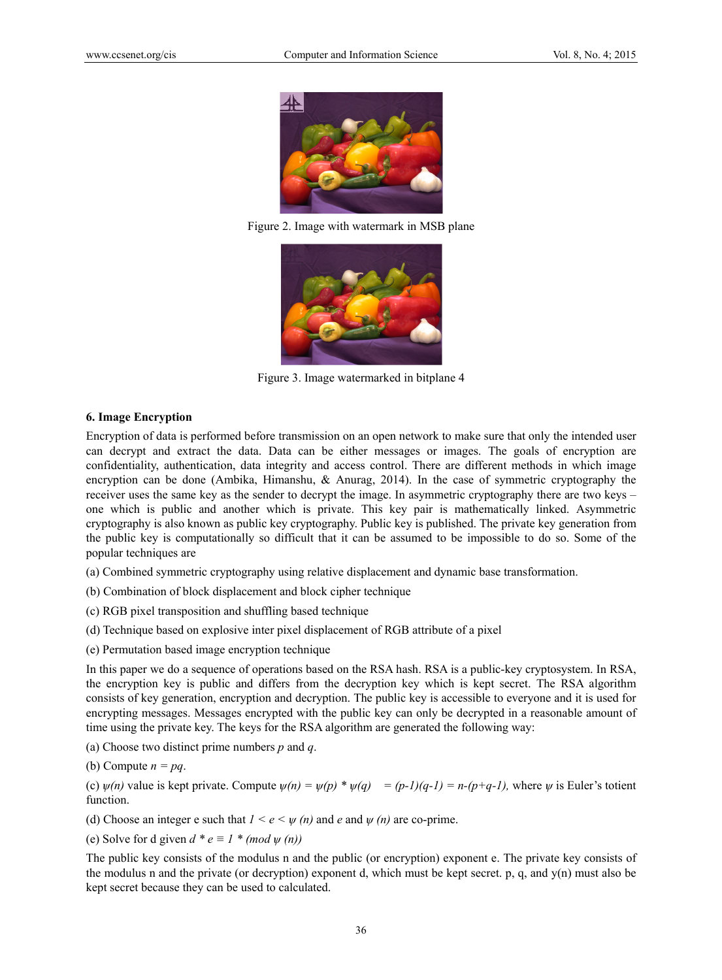

Figure 2. Image with watermark in MSB plane



Figure 3. Image watermarked in bitplane 4

#### **6. Image Encryption**

Encryption of data is performed before transmission on an open network to make sure that only the intended user can decrypt and extract the data. Data can be either messages or images. The goals of encryption are confidentiality, authentication, data integrity and access control. There are different methods in which image encryption can be done (Ambika, Himanshu, & Anurag, 2014). In the case of symmetric cryptography the receiver uses the same key as the sender to decrypt the image. In asymmetric cryptography there are two keys – one which is public and another which is private. This key pair is mathematically linked. Asymmetric cryptography is also known as public key cryptography. Public key is published. The private key generation from the public key is computationally so difficult that it can be assumed to be impossible to do so. Some of the popular techniques are

(a) Combined symmetric cryptography using relative displacement and dynamic base transformation.

- (b) Combination of block displacement and block cipher technique
- (c) RGB pixel transposition and shuffling based technique
- (d) Technique based on explosive inter pixel displacement of RGB attribute of a pixel
- (e) Permutation based image encryption technique

In this paper we do a sequence of operations based on the RSA hash. RSA is a public-key cryptosystem. In RSA, the encryption key is public and differs from the decryption key which is kept secret. The RSA algorithm consists of key generation, encryption and decryption. The public key is accessible to everyone and it is used for encrypting messages. Messages encrypted with the public key can only be decrypted in a reasonable amount of time using the private key. The keys for the RSA algorithm are generated the following way:

- (a) Choose two distinct prime numbers *p* and *q*.
- (b) Compute *n = pq*.

(c)  $\psi(n)$  value is kept private. Compute  $\psi(n) = \psi(p) * \psi(q) = (p-1)(q-1) = n-(p+q-1)$ , where  $\psi$  is Euler's totient function.

(d) Choose an integer e such that  $1 \le e \le \psi(n)$  and *e* and  $\psi(n)$  are co-prime.

(e) Solve for d given  $d * e \equiv 1 * (mod \psi(n))$ 

The public key consists of the modulus n and the public (or encryption) exponent e. The private key consists of the modulus n and the private (or decryption) exponent d, which must be kept secret. p, q, and y(n) must also be kept secret because they can be used to calculated.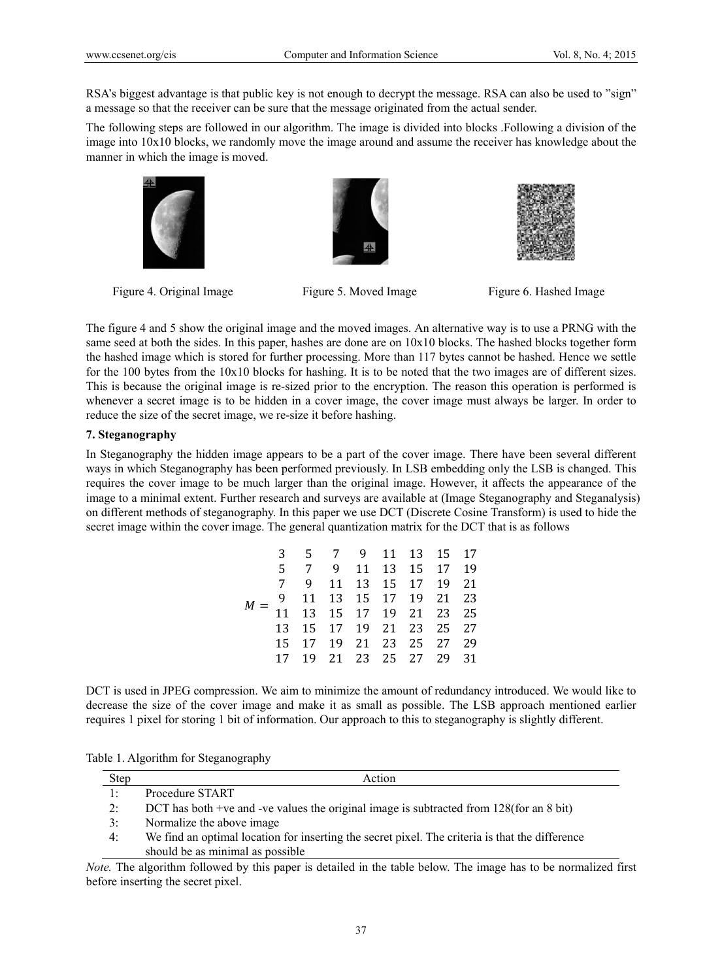RSA's biggest advantage is that public key is not enough to decrypt the message. RSA can also be used to "sign" a message so that the receiver can be sure that the message originated from the actual sender.

The following steps are followed in our algorithm. The image is divided into blocks .Following a division of the image into 10x10 blocks, we randomly move the image around and assume the receiver has knowledge about the manner in which the image is moved.



Figure 4. Original Image Figure 5. Moved Image Figure 6. Hashed Image





The figure 4 and 5 show the original image and the moved images. An alternative way is to use a PRNG with the same seed at both the sides. In this paper, hashes are done are on  $10x10$  blocks. The hashed blocks together form the hashed image which is stored for further processing. More than 117 bytes cannot be hashed. Hence we settle for the 100 bytes from the 10x10 blocks for hashing. It is to be noted that the two images are of different sizes. This is because the original image is re-sized prior to the encryption. The reason this operation is performed is whenever a secret image is to be hidden in a cover image, the cover image must always be larger. In order to reduce the size of the secret image, we re-size it before hashing.

# **7. Steganography**

In Steganography the hidden image appears to be a part of the cover image. There have been several different ways in which Steganography has been performed previously. In LSB embedding only the LSB is changed. This requires the cover image to be much larger than the original image. However, it affects the appearance of the image to a minimal extent. Further research and surveys are available at (Image Steganography and Steganalysis) on different methods of steganography. In this paper we use DCT (Discrete Cosine Transform) is used to hide the secret image within the cover image. The general quantization matrix for the DCT that is as follows

| $M =$ |  |  | 3 5 7 9 11 13 15 17<br>5 7 9 11 13 15 17 19<br>7 9 11 13 15 17 19 21<br>9 11 13 15 17 19 21 23           |  |
|-------|--|--|----------------------------------------------------------------------------------------------------------|--|
|       |  |  | 11 13 15 17 19 21 23 25<br>13 15 17 19 21 23 25 27<br>15 17 19 21 23 25 27 29<br>17 19 21 23 25 27 29 31 |  |

DCT is used in JPEG compression. We aim to minimize the amount of redundancy introduced. We would like to decrease the size of the cover image and make it as small as possible. The LSB approach mentioned earlier requires 1 pixel for storing 1 bit of information. Our approach to this to steganography is slightly different.

| Step        | Action                                                                                                    |
|-------------|-----------------------------------------------------------------------------------------------------------|
| $1^{\circ}$ | Procedure START                                                                                           |
| 2:          | DCT has both +ve and -ve values the original image is subtracted from $128$ (for an 8 bit)                |
| 3:          | Normalize the above image.                                                                                |
| 4:          | We find an optimal location for inserting the secret pixel. The criteria is that the difference           |
|             | should be as minimal as possible                                                                          |
|             | a. The algorithm followed by this nanet is detailed in the table below. The image has to be normalized fi |

*Note.* The algorithm followed by this paper is detailed in the table below. The image has to be normalized first before inserting the secret pixel.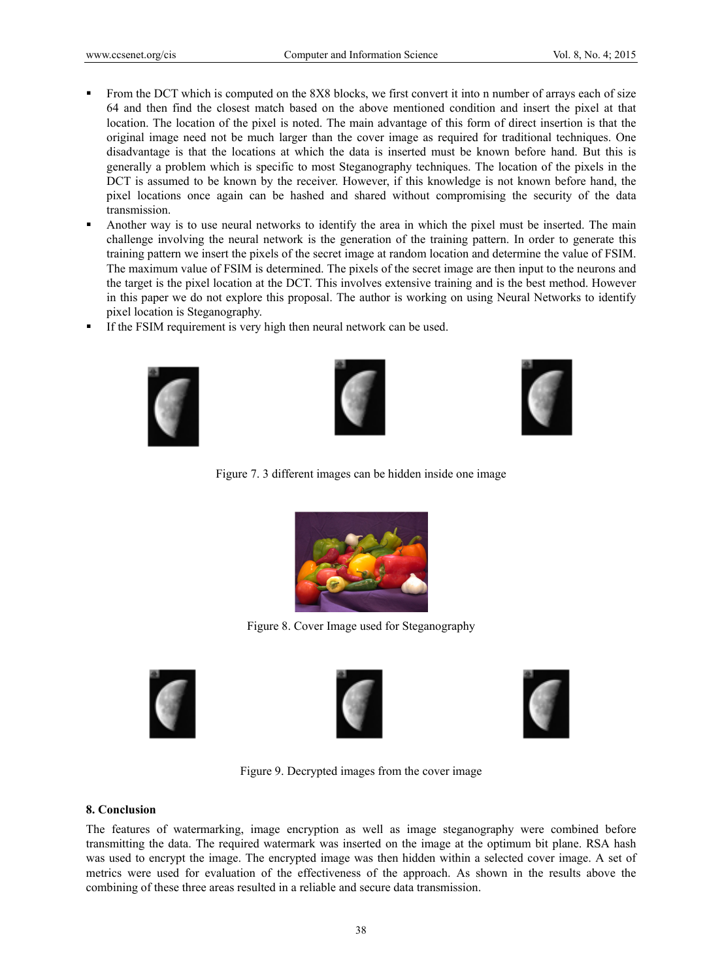- From the DCT which is computed on the 8X8 blocks, we first convert it into n number of arrays each of size 64 and then find the closest match based on the above mentioned condition and insert the pixel at that location. The location of the pixel is noted. The main advantage of this form of direct insertion is that the original image need not be much larger than the cover image as required for traditional techniques. One disadvantage is that the locations at which the data is inserted must be known before hand. But this is generally a problem which is specific to most Steganography techniques. The location of the pixels in the DCT is assumed to be known by the receiver. However, if this knowledge is not known before hand, the pixel locations once again can be hashed and shared without compromising the security of the data transmission.
- Another way is to use neural networks to identify the area in which the pixel must be inserted. The main challenge involving the neural network is the generation of the training pattern. In order to generate this training pattern we insert the pixels of the secret image at random location and determine the value of FSIM. The maximum value of FSIM is determined. The pixels of the secret image are then input to the neurons and the target is the pixel location at the DCT. This involves extensive training and is the best method. However in this paper we do not explore this proposal. The author is working on using Neural Networks to identify pixel location is Steganography.
- If the FSIM requirement is very high then neural network can be used.







Figure 7. 3 different images can be hidden inside one image



Figure 8. Cover Image used for Steganography







Figure 9. Decrypted images from the cover image

#### **8. Conclusion**

The features of watermarking, image encryption as well as image steganography were combined before transmitting the data. The required watermark was inserted on the image at the optimum bit plane. RSA hash was used to encrypt the image. The encrypted image was then hidden within a selected cover image. A set of metrics were used for evaluation of the effectiveness of the approach. As shown in the results above the combining of these three areas resulted in a reliable and secure data transmission.